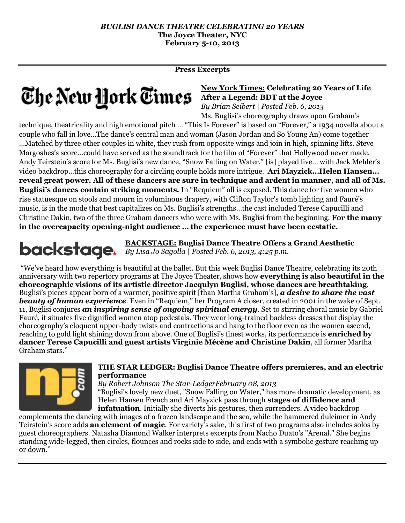**Press Excerpts**

# **The New Hork Times** After a Legend: BDT at the Joyce

## **New York Times: Celebrating 20 Years of Life**

*By Brian Seibert | Posted Feb. 6, 2013* Ms. Buglisi's choreography draws upon Graham's

technique, theatricality and high emotional pitch … "This Is Forever" is based on "Forever," a 1934 novella about a couple who fall in love…The dance's central man and woman (Jason Jordan and So Young An) come together …Matched by three other couples in white, they rush from opposite wings and join in high, spinning lifts. Steve Margoshes's score…could have served as the soundtrack for the film of "Forever" that Hollywood never made. Andy Teirstein's score for Ms. Buglisi's new dance, "Snow Falling on Water," [is] played live… with Jack Mehler's video backdrop...this choreography for a circling couple holds more intrigue. **Ari Mayzick…Helen Hansen… reveal great power. All of these dancers are sure in technique and ardent in manner, and all of Ms. Buglisi's dances contain striking moments.** In "Requiem" all is exposed. This dance for five women who rise statuesque on stools and mourn in voluminous drapery, with Clifton Taylor's tomb lighting and Fauré's music, is in the mode that best capitalizes on Ms. Buglisi's strengths…the cast included Terese Capucilli and Christine Dakin, two of the three Graham dancers who were with Ms. Buglisi from the beginning. **For the many in the overcapacity opening-night audience … the experience must have been ecstatic.** 

**BACKSTAGE: Buglisi Dance Theatre Offers a Grand Aesthetic** *By Lisa Jo Sagolla | Posted Feb. 6, 2013, 4:25 p.m.* 

"We've heard how everything is beautiful at the ballet. But this week Buglisi Dance Theatre, celebrating its 20th anniversary with two repertory programs at The Joyce Theater, shows how **everything is also beautiful in the choreographic visions of its artistic director Jacqulyn Buglisi, whose dances are breathtaking**. Buglisi's pieces appear born of a warmer, positive spirit [than Martha Graham's], *a desire to share the vast beauty of human experience*. Even in "Requiem," her Program A closer, created in 2001 in the wake of Sept. 11, Buglisi conjures *an inspiring sense of ongoing spiritual energy*. Set to stirring choral music by Gabriel Fauré, it situates five dignified women atop pedestals. They wear long-trained backless dresses that display the choreography's eloquent upper-body twists and contractions and hang to the floor even as the women ascend, reaching to gold light shining down from above. One of Buglisi's finest works, its performance is **enriched by dancer Terese Capucilli and guest artists Virginie Mécène and Christine Dakin**, all former Martha Graham stars."



#### **THE STAR LEDGER: Buglisi Dance Theatre offers premieres, and an electric performance**

*By [Robert Johnson](http://connect.nj.com/user/njorjohnson/posts.html) The Star-LedgerFebruary 08, 2013* 

"Buglisi's lovely new duet, "Snow Falling on Water," has more dramatic development, as Helen Hansen French and Ari Mayzick pass through **stages of diffidence and infatuation**. Initially she diverts his gestures, then surrenders. A video backdrop

complements the dancing with images of a frozen landscape and the sea, while the hammered dulcimer in Andy Teirstein's score adds **an element of magic**. For variety's sake, this first of two programs also includes solos by guest choreographers. Natasha Diamond Walker interprets excerpts from Nacho Duato's "Arenal." She begins standing wide-legged, then circles, flounces and rocks side to side, and ends with a symbolic gesture reaching up or down."